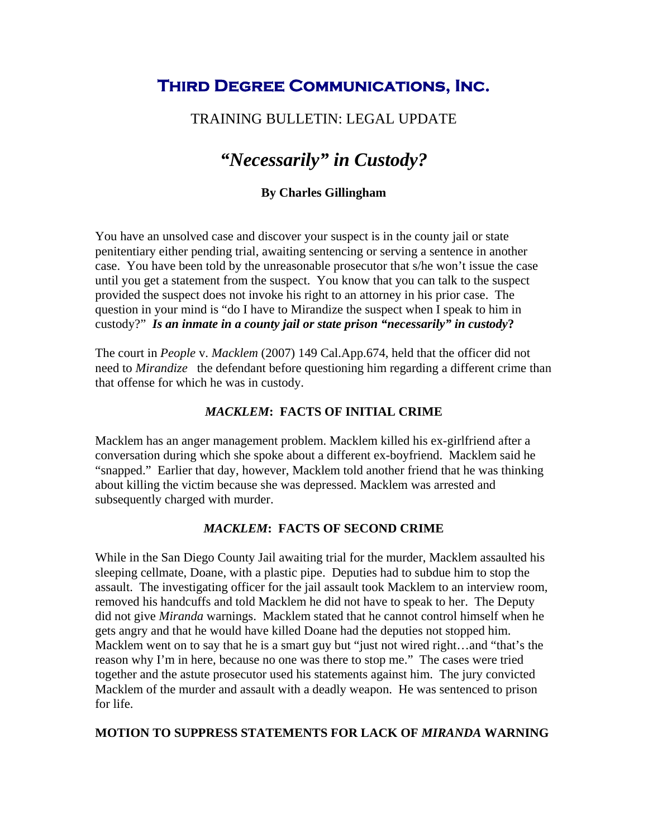## **Third Degree Communications, Inc.**

## TRAINING BULLETIN: LEGAL UPDATE

# *"Necessarily" in Custody?*

#### **By Charles Gillingham**

You have an unsolved case and discover your suspect is in the county jail or state penitentiary either pending trial, awaiting sentencing or serving a sentence in another case. You have been told by the unreasonable prosecutor that s/he won't issue the case until you get a statement from the suspect. You know that you can talk to the suspect provided the suspect does not invoke his right to an attorney in his prior case. The question in your mind is "do I have to Mirandize the suspect when I speak to him in custody?" *Is an inmate in a county jail or state prison "necessarily" in custody***?** 

The court in *People* v. *Macklem* (2007) 149 Cal.App.674, held that the officer did not need to *Mirandize* the defendant before questioning him regarding a different crime than that offense for which he was in custody.

#### *MACKLEM***: FACTS OF INITIAL CRIME**

Macklem has an anger management problem. Macklem killed his ex-girlfriend after a conversation during which she spoke about a different ex-boyfriend. Macklem said he "snapped." Earlier that day, however, Macklem told another friend that he was thinking about killing the victim because she was depressed. Macklem was arrested and subsequently charged with murder.

#### *MACKLEM***: FACTS OF SECOND CRIME**

While in the San Diego County Jail awaiting trial for the murder, Macklem assaulted his sleeping cellmate, Doane, with a plastic pipe. Deputies had to subdue him to stop the assault. The investigating officer for the jail assault took Macklem to an interview room, removed his handcuffs and told Macklem he did not have to speak to her. The Deputy did not give *Miranda* warnings. Macklem stated that he cannot control himself when he gets angry and that he would have killed Doane had the deputies not stopped him. Macklem went on to say that he is a smart guy but "just not wired right...and "that's the reason why I'm in here, because no one was there to stop me." The cases were tried together and the astute prosecutor used his statements against him. The jury convicted Macklem of the murder and assault with a deadly weapon. He was sentenced to prison for life.

#### **MOTION TO SUPPRESS STATEMENTS FOR LACK OF** *MIRANDA* **WARNING**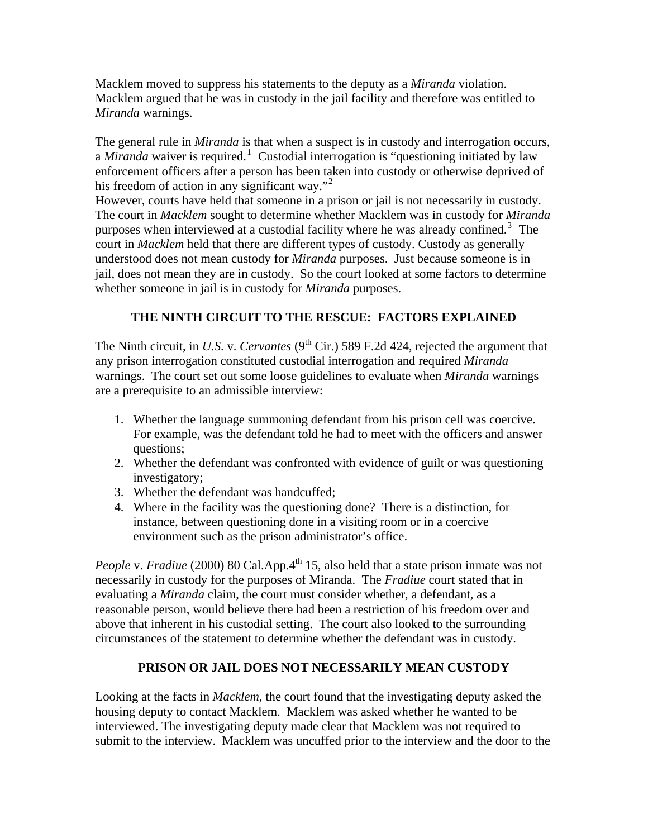Macklem moved to suppress his statements to the deputy as a *Miranda* violation. Macklem argued that he was in custody in the jail facility and therefore was entitled to *Miranda* warnings.

The general rule in *Miranda* is that when a suspect is in custody and interrogation occurs, a *Miranda* waiver is required.<sup>[1](#page-2-0)</sup> Custodial interrogation is "questioning initiated by law enforcement officers after a person has been taken into custody or otherwise deprived of his freedom of action in any significant way."<sup>[2](#page-2-1)</sup>

However, courts have held that someone in a prison or jail is not necessarily in custody. The court in *Macklem* sought to determine whether Macklem was in custody for *Miranda*  purposes when interviewed at a custodial facility where he was already confined.<sup>[3](#page-2-1)</sup> The court in *Macklem* held that there are different types of custody. Custody as generally understood does not mean custody for *Miranda* purposes. Just because someone is in jail, does not mean they are in custody. So the court looked at some factors to determine whether someone in jail is in custody for *Miranda* purposes.

## **THE NINTH CIRCUIT TO THE RESCUE: FACTORS EXPLAINED**

The Ninth circuit, in *U.S. v. Cervantes* (9<sup>th</sup> Cir.) 589 F.2d 424, rejected the argument that any prison interrogation constituted custodial interrogation and required *Miranda* warnings. The court set out some loose guidelines to evaluate when *Miranda* warnings are a prerequisite to an admissible interview:

- 1. Whether the language summoning defendant from his prison cell was coercive. For example, was the defendant told he had to meet with the officers and answer questions;
- 2. Whether the defendant was confronted with evidence of guilt or was questioning investigatory;
- 3. Whether the defendant was handcuffed;
- 4. Where in the facility was the questioning done? There is a distinction, for instance, between questioning done in a visiting room or in a coercive environment such as the prison administrator's office.

*People* v. *Fradiue* (2000) 80 Cal.App.4<sup>th</sup> 15, also held that a state prison inmate was not necessarily in custody for the purposes of Miranda. The *Fradiue* court stated that in evaluating a *Miranda* claim, the court must consider whether, a defendant, as a reasonable person, would believe there had been a restriction of his freedom over and above that inherent in his custodial setting. The court also looked to the surrounding circumstances of the statement to determine whether the defendant was in custody.

#### **PRISON OR JAIL DOES NOT NECESSARILY MEAN CUSTODY**

Looking at the facts in *Macklem*, the court found that the investigating deputy asked the housing deputy to contact Macklem. Macklem was asked whether he wanted to be interviewed. The investigating deputy made clear that Macklem was not required to submit to the interview. Macklem was uncuffed prior to the interview and the door to the